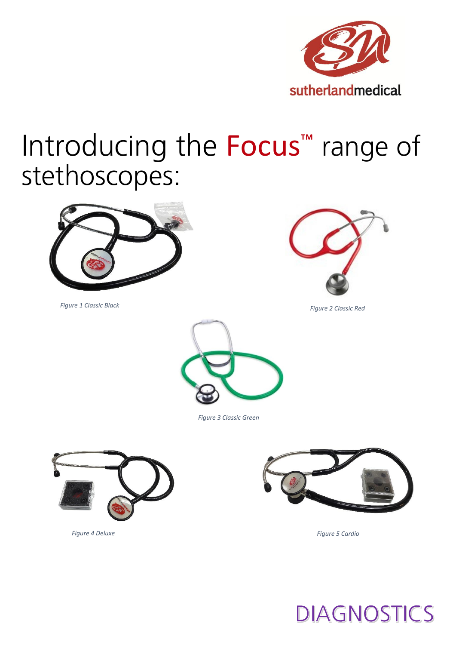

## Introducing the Focus<sup>™</sup> range of stethoscopes:



*Figure 1 Classic Black*



*Figure 2 Classic Red*



*Figure 3 Classic Green*





*Figure 5 Cardio* 



*Figure 4 Deluxe*